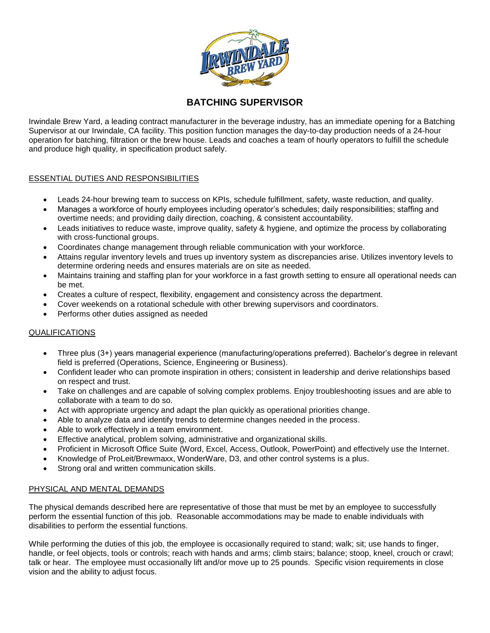

## **BATCHING SUPERVISOR**

Irwindale Brew Yard, a leading contract manufacturer in the beverage industry, has an immediate opening for a Batching Supervisor at our Irwindale, CA facility. This position function manages the day-to-day production needs of a 24-hour operation for batching, filtration or the brew house. Leads and coaches a team of hourly operators to fulfill the schedule and produce high quality, in specification product safely.

## ESSENTIAL DUTIES AND RESPONSIBILITIES

- Leads 24-hour brewing team to success on KPIs, schedule fulfillment, safety, waste reduction, and quality.
- Manages a workforce of hourly employees including operator's schedules; daily responsibilities; staffing and overtime needs; and providing daily direction, coaching, & consistent accountability.
- Leads initiatives to reduce waste, improve quality, safety & hygiene, and optimize the process by collaborating with cross-functional groups.
- Coordinates change management through reliable communication with your workforce.
- Attains regular inventory levels and trues up inventory system as discrepancies arise. Utilizes inventory levels to determine ordering needs and ensures materials are on site as needed.
- Maintains training and staffing plan for your workforce in a fast growth setting to ensure all operational needs can be met.
- Creates a culture of respect, flexibility, engagement and consistency across the department.
- Cover weekends on a rotational schedule with other brewing supervisors and coordinators.
- Performs other duties assigned as needed

## QUALIFICATIONS

- Three plus (3+) years managerial experience (manufacturing/operations preferred). Bachelor's degree in relevant field is preferred (Operations, Science, Engineering or Business).
- Confident leader who can promote inspiration in others; consistent in leadership and derive relationships based on respect and trust.
- Take on challenges and are capable of solving complex problems. Enjoy troubleshooting issues and are able to collaborate with a team to do so.
- Act with appropriate urgency and adapt the plan quickly as operational priorities change.
- Able to analyze data and identify trends to determine changes needed in the process.
- Able to work effectively in a team environment.
- Effective analytical, problem solving, administrative and organizational skills.
- Proficient in Microsoft Office Suite (Word, Excel, Access, Outlook, PowerPoint) and effectively use the Internet.
- Knowledge of ProLeit/Brewmaxx, WonderWare, D3, and other control systems is a plus.
- Strong oral and written communication skills.

## PHYSICAL AND MENTAL DEMANDS

The physical demands described here are representative of those that must be met by an employee to successfully perform the essential function of this job. Reasonable accommodations may be made to enable individuals with disabilities to perform the essential functions.

While performing the duties of this job, the employee is occasionally required to stand; walk; sit; use hands to finger, handle, or feel objects, tools or controls; reach with hands and arms; climb stairs; balance; stoop, kneel, crouch or crawl; talk or hear. The employee must occasionally lift and/or move up to 25 pounds. Specific vision requirements in close vision and the ability to adjust focus.